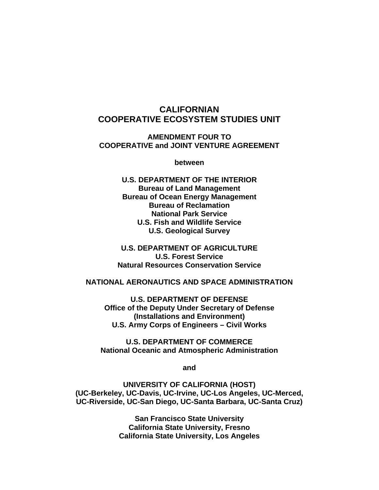## **CALIFORNIAN COOPERATIVE ECOSYSTEM STUDIES UNIT**

#### **AMENDMENT FOUR TO COOPERATIVE and JOINT VENTURE AGREEMENT**

**between** 

**U.S. DEPARTMENT OF THE INTERIOR Bureau of Land Management Bureau of Ocean Energy Management Bureau of Reclamation National Park Service U.S. Fish and Wildlife Service U.S. Geological Survey** 

**U.S. DEPARTMENT OF AGRICULTURE U.S. Forest Service Natural Resources Conservation Service** 

#### **NATIONAL AERONAUTICS AND SPACE ADMINISTRATION**

**U.S. DEPARTMENT OF DEFENSE Office of the Deputy Under Secretary of Defense (Installations and Environment) U.S. Army Corps of Engineers – Civil Works** 

**U.S. DEPARTMENT OF COMMERCE National Oceanic and Atmospheric Administration** 

**and** 

**UNIVERSITY OF CALIFORNIA (HOST) (UC-Berkeley, UC-Davis, UC-Irvine, UC-Los Angeles, UC-Merced, UC-Riverside, UC-San Diego, UC-Santa Barbara, UC-Santa Cruz)** 

> **San Francisco State University California State University, Fresno California State University, Los Angeles**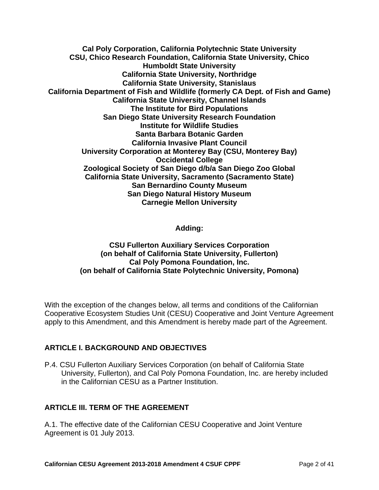**Cal Poly Corporation, California Polytechnic State University CSU, Chico Research Foundation, California State University, Chico Humboldt State University California State University, Northridge California State University, Stanislaus California Department of Fish and Wildlife (formerly CA Dept. of Fish and Game) California State University, Channel Islands The Institute for Bird Populations San Diego State University Research Foundation Institute for Wildlife Studies Santa Barbara Botanic Garden California Invasive Plant Council University Corporation at Monterey Bay (CSU, Monterey Bay) Occidental College Zoological Society of San Diego d/b/a San Diego Zoo Global California State University, Sacramento (Sacramento State) San Bernardino County Museum San Diego Natural History Museum Carnegie Mellon University** 

**Adding:** 

#### **CSU Fullerton Auxiliary Services Corporation (on behalf of California State University, Fullerton) Cal Poly Pomona Foundation, Inc. (on behalf of California State Polytechnic University, Pomona)**

With the exception of the changes below, all terms and conditions of the Californian Cooperative Ecosystem Studies Unit (CESU) Cooperative and Joint Venture Agreement apply to this Amendment, and this Amendment is hereby made part of the Agreement.

#### **ARTICLE I. BACKGROUND AND OBJECTIVES**

P.4. CSU Fullerton Auxiliary Services Corporation (on behalf of California State University, Fullerton), and Cal Poly Pomona Foundation, Inc. are hereby included in the Californian CESU as a Partner Institution.

#### **ARTICLE III. TERM OF THE AGREEMENT**

A.1. The effective date of the Californian CESU Cooperative and Joint Venture Agreement is 01 July 2013.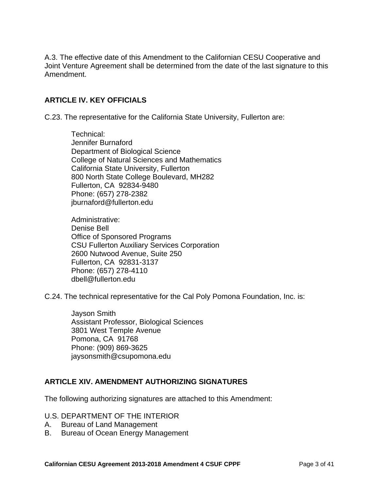A.3. The effective date of this Amendment to the Californian CESU Cooperative and Joint Venture Agreement shall be determined from the date of the last signature to this Amendment.

#### **ARTICLE IV. KEY OFFICIALS**

C.23. The representative for the California State University, Fullerton are:

Technical: Jennifer Burnaford Department of Biological Science College of Natural Sciences and Mathematics California State University, Fullerton 800 North State College Boulevard, MH282 Fullerton, CA 92834-9480 Phone: (657) 278-2382 jburnaford@fullerton.edu

Administrative: Denise Bell Office of Sponsored Programs CSU Fullerton Auxiliary Services Corporation 2600 Nutwood Avenue, Suite 250 Fullerton, CA 92831-3137 Phone: (657) 278-4110 dbell@fullerton.edu

C.24. The technical representative for the Cal Poly Pomona Foundation, Inc. is:

Jayson Smith Assistant Professor, Biological Sciences 3801 West Temple Avenue Pomona, CA 91768 Phone: (909) 869-3625 jaysonsmith@csupomona.edu

#### **ARTICLE XIV. AMENDMENT AUTHORIZING SIGNATURES**

The following authorizing signatures are attached to this Amendment:

- U.S. DEPARTMENT OF THE INTERIOR
- A. Bureau of Land Management
- B. Bureau of Ocean Energy Management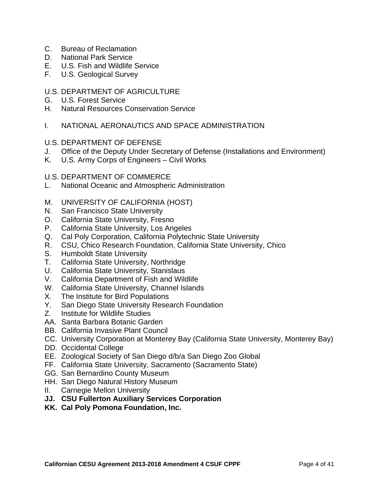- C. Bureau of Reclamation
- D. National Park Service
- E. U.S. Fish and Wildlife Service
- F. U.S. Geological Survey
- U.S. DEPARTMENT OF AGRICULTURE
- G. U.S. Forest Service
- H. Natural Resources Conservation Service
- I. NATIONAL AERONAUTICS AND SPACE ADMINISTRATION
- U.S. DEPARTMENT OF DEFENSE
- J. Office of the Deputy Under Secretary of Defense (Installations and Environment)
- K. U.S. Army Corps of Engineers Civil Works
- U.S. DEPARTMENT OF COMMERCE
- L. National Oceanic and Atmospheric Administration
- M. UNIVERSITY OF CALIFORNIA (HOST)
- N. San Francisco State University
- O. California State University, Fresno
- P. California State University, Los Angeles
- Q. Cal Poly Corporation, California Polytechnic State University
- R. CSU, Chico Research Foundation, California State University, Chico
- S. Humboldt State University
- T. California State University, Northridge
- U. California State University, Stanislaus
- V. California Department of Fish and Wildlife
- W. California State University, Channel Islands
- X. The Institute for Bird Populations
- Y. San Diego State University Research Foundation
- Z. Institute for Wildlife Studies
- AA. Santa Barbara Botanic Garden
- BB. California Invasive Plant Council
- CC. University Corporation at Monterey Bay (California State University, Monterey Bay)
- DD. Occidental College
- EE. Zoological Society of San Diego d/b/a San Diego Zoo Global
- FF. California State University, Sacramento (Sacramento State)
- GG. San Bernardino County Museum
- HH. San Diego Natural History Museum
- II. Carnegie Mellon University
- **JJ. CSU Fullerton Auxiliary Services Corporation**
- **KK. Cal Poly Pomona Foundation, Inc.**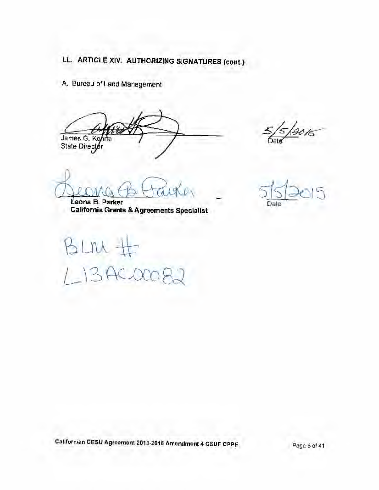A. Bureau of Land Management

James G. Kenna<br>State Director

Leona B. Parker California Grants & Agreements Specialist

BLM  $134000$ 

13015

Date

Californian CESU Agreement 2013-2018 Amendment 4 CSUF CPPF

Page 5 of 41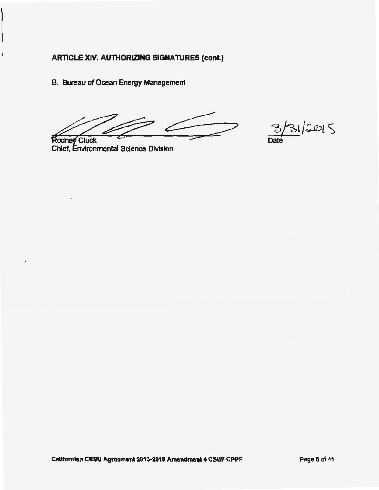B. Bureau of Ocean Energy Management

 $31/2015$ Date

**Rodney Cluck** Chief, Environmental Science Division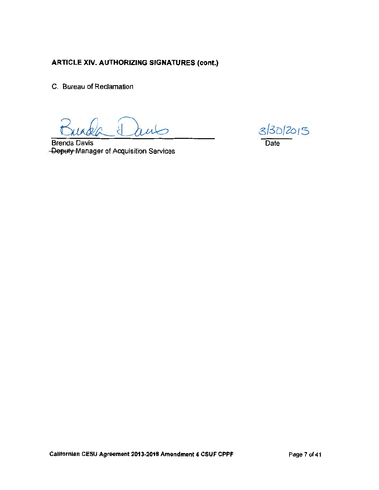C. Bureau of Reclamation

**Brenda Davis** -Deputy Manager of Acquisition Services

3/30/2015 Date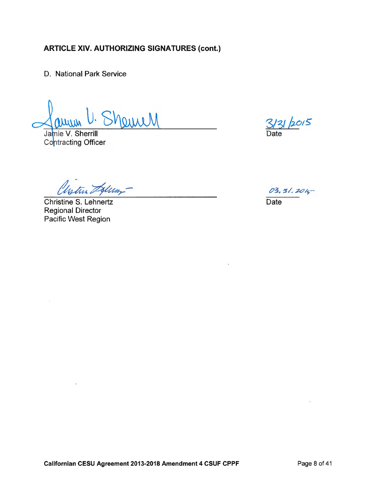D. National Park Service

amell

Jamie V. Sherrill Contracting Officer

istur Sylum

**Christine S. Lehnertz Regional Director** Pacific West Region

 $2015$ Date

 $03, 51, 2015$ **Date**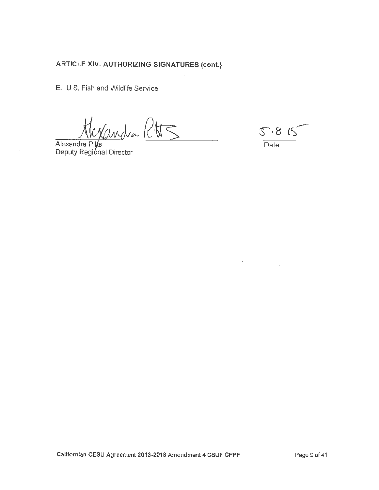E. U.S. Fish and Wildlife Service

Alexandra Pitts<br>Alexandra Pitts<br>Deputy Register

 $5.8.15$ Date

 $\epsilon$ 

Californian CESU Agreement 2013-2018 Amendment 4 CSUF CPPF

 $\epsilon$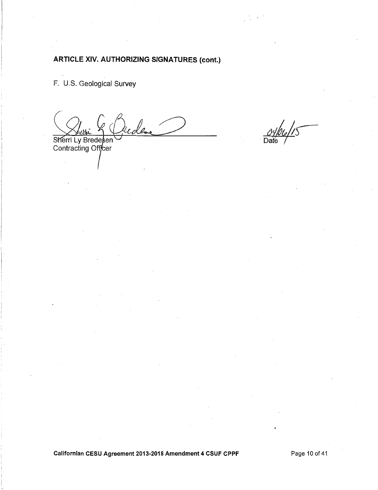F. U.S. Geological Survey

Sherri Ly Bredesen<br>Contracting Officer

Californian CESU Agreement 2013-2018 Amendment 4 CSUF CPPF

Page 10 of 41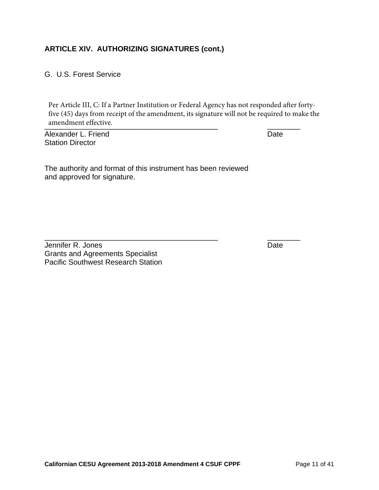G. U.S. Forest Service

examendment effective. Per Article III, C: If a Partner Institution or Federal Agency has not responded after fortyfive (45) days from receipt of the amendment, its signature will not be required to make the

\_\_\_\_\_\_\_\_\_\_\_\_\_\_\_\_\_\_\_\_\_\_\_\_\_\_\_\_\_\_\_\_\_\_\_\_\_\_\_\_\_\_ \_\_\_\_\_\_\_\_

Alexander L. Friend **Date** Station Director

The authority and format of this instrument has been reviewed and approved for signature.

Jennifer R. Jones **Date** Grants and Agreements Specialist Pacific Southwest Research Station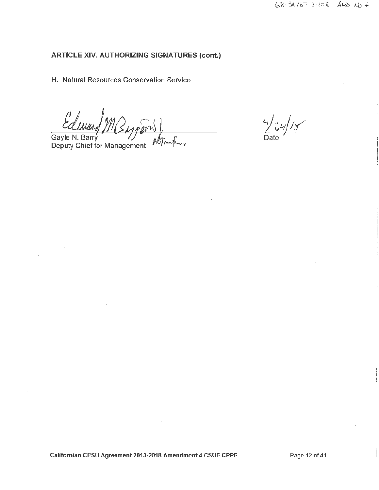H. Natural Resources Conservation Service

Ed

Gayle N. Barry<br>Deputy Chief for Management w

 $24/15$ 

Californian CESU Agreement 2013-2018 Amendment 4 CSUF CPPF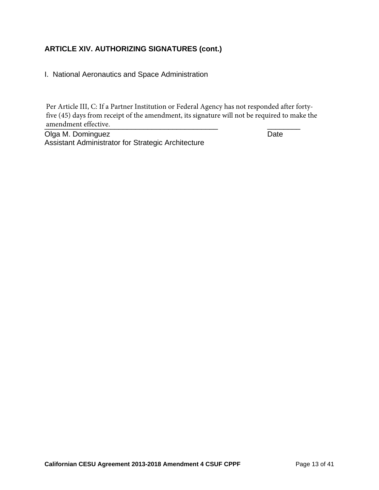I. National Aeronautics and Space Administration

amendment effective. Per Article III, C: If a Partner Institution or Federal Agency has not responded after fortyfive (45) days from receipt of the amendment, its signature will not be required to make the

Olga M. Dominguez **Date** Assistant Administrator for Strategic Architecture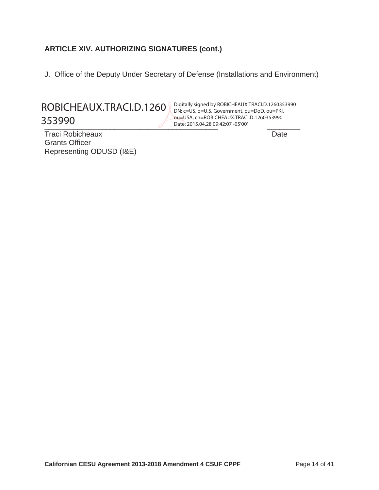J. Office of the Deputy Under Secretary of Defense (Installations and Environment)

ROBICHEAUX.TRACI.D.1260 353990

Date: 2015.04.28 09:42:07 -05'00' Traci Robicheaux **Date** ou=USA, cn=ROBICHEAUX.TRACI.D.1260353990

Grants Officer Representing ODUSD (I&E)

Digitally signed by ROBICHEAUX.TRACI.D.1260353990 DN: c=US, o=U.S. Government, ou=DoD, ou=PKI,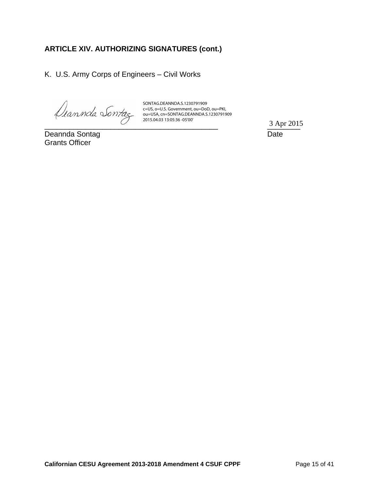K. U.S. Army Corps of Engineers – Civil Works

SONTAG.DEANNDA.S.1230791909 c=US, o=U.S. Government, ou=DoD, ou=PKI, ou=USA, cn=SONTAG.DEANNDA.S.1230791909 2015.04.03 13:05:36 -05'00'

Deannda Sontag **Date** Grants Officer

 $\overline{3 \text{ Apr } 2013}$ 3 Apr 2015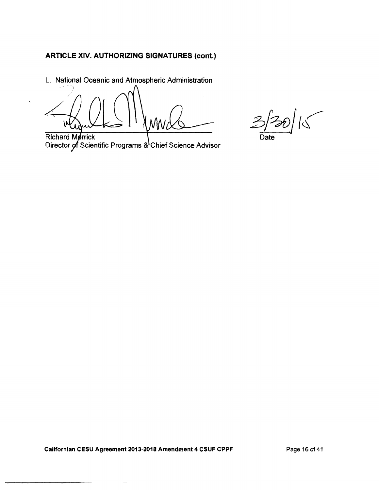L. National Oceanic and Atmospheric Administration

ν

**Richard Merrick** Director of Scientific Programs & Chief Science Advisor

 $2^{20}$ 

Date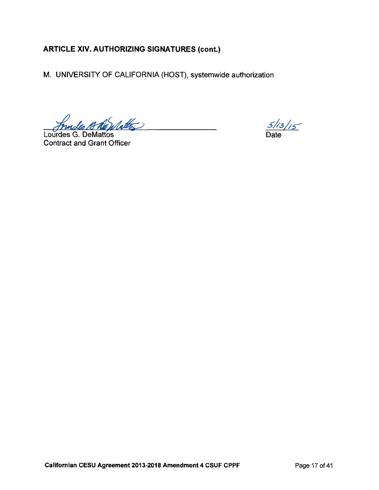M. UNIVERSITY OF CALIFORNIA (HOST), systemwide authorization

Jundes 18 Newlatte 

**Contract and Grant Officer** 

 $\frac{5/13}{5}$ 

Californian CESU Agreement 2013-2018 Amendment 4 CSUF CPPF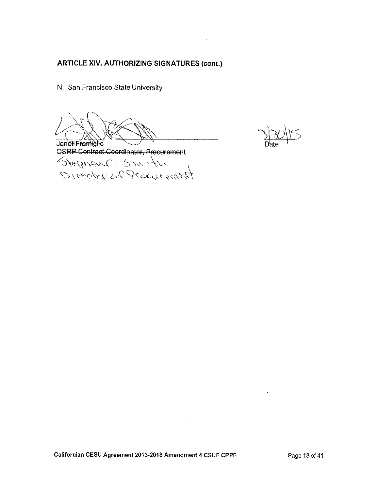N. San Francisco State University

Janet Framiglie<br>OSRP Contract Coordinator, Procurement<br>Stephen C. 5 m 1 bm

 $\cdot$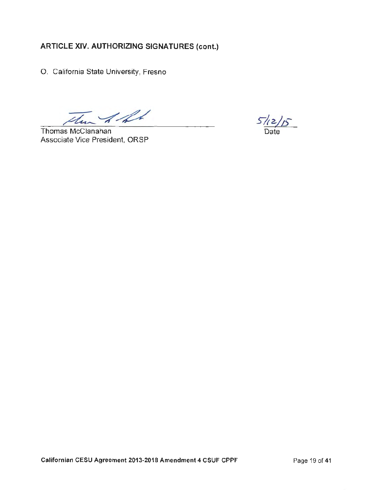O. California State University, Fresno

 $\mathcal{A}\mathcal{A}$ 

Thomas McClanahan Associate Vice President, ORSP

 $5/12/5$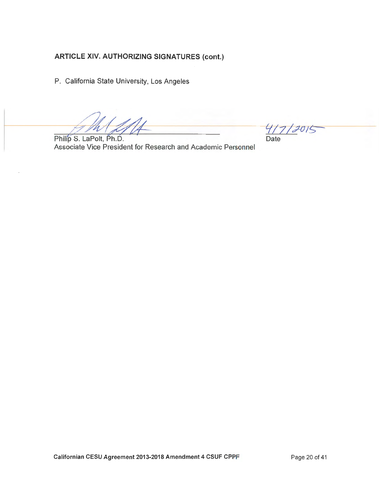P. California State University, Los Angeles

Philip S. LaPolt, Ph.D. Associate Vice President for Research and Academic Personnel

 $4/7/2015$ Date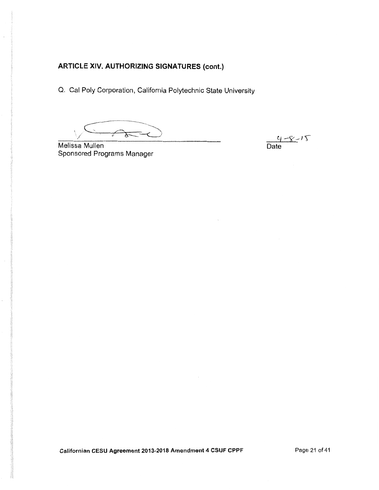Q. Cal Poly Corporation, California Polytechnic State University

 $\overbrace{f}$ 

Melissa Mullen Sponsored Programs Manager

 $\frac{c_1 - c_2}{\text{Date}}$ 

Californian CESU Agreement 2013-2018 Amendment 4 CSUF CPPF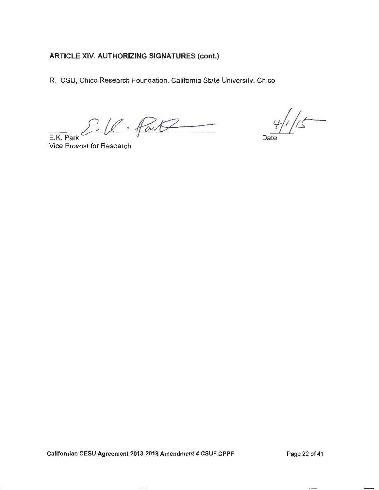R. CSU, Chico Research Foundation, California State University, Chico

l. Part E.K. Park

Vice Provost for Research

 $\sqrt{2}$ 

Date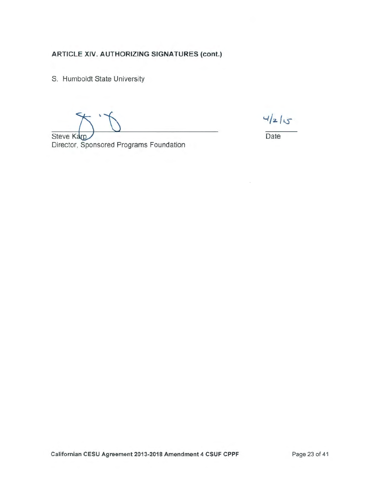S. Humboldt State University

 $4/z/5$ 

Date

Steve Karp Director, Sponsored Programs Foundation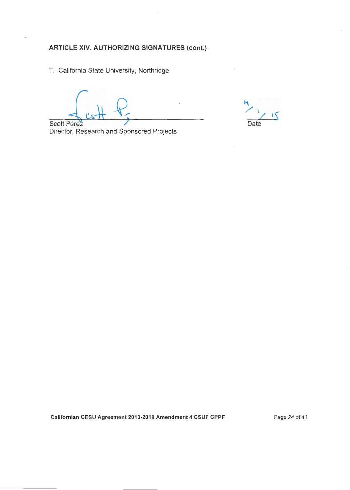T. California State University, Northridge

k.

Date

Scott Pérez Director, Research and Sponsored Projects

Californian CESU Agreement 2013-2018 Amendment 4 CSUF CPPF

Page 24 of 41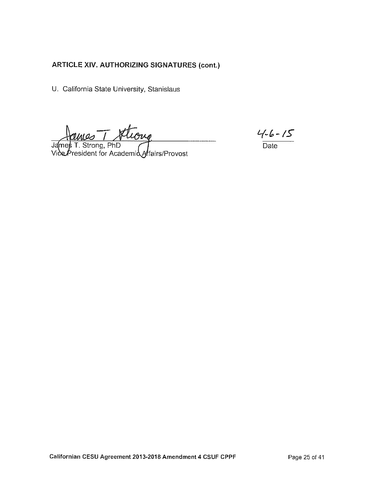U. California State University, Stanislaus

James T. Strong, PhD<br>Vice President for Academia Affairs/Provost

 $\frac{4.6 - 15}{\text{Date}}$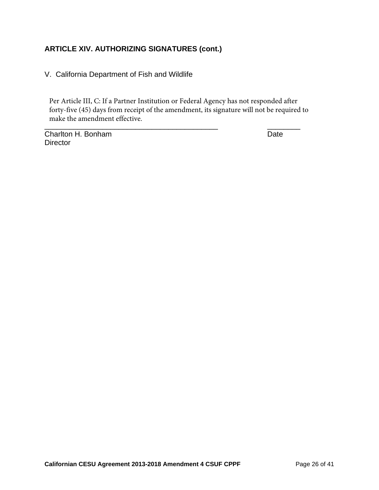V. California Department of Fish and Wildlife

\_\_\_\_\_\_\_\_\_\_\_\_\_\_\_\_\_\_\_\_\_\_\_\_\_\_\_\_\_\_\_\_\_\_\_\_\_\_\_\_\_\_ \_\_\_\_\_\_\_\_ Per Article III, C: If a Partner Institution or Federal Agency has not responded after forty-five (45) days from receipt of the amendment, its signature will not be required to make the amendment effective.

Charlton H. Bonham Date Date Date **Director**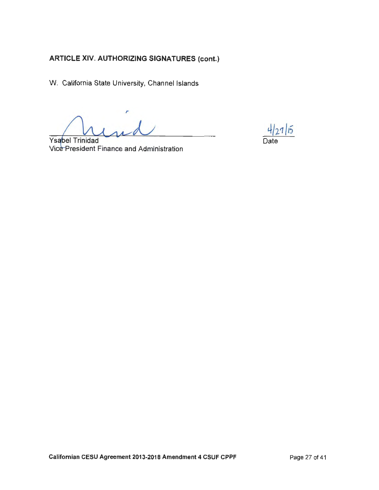W. California State University, Channel Islands

Ysabel Trinidad Vice President Finance and Administration

 $4/27/15$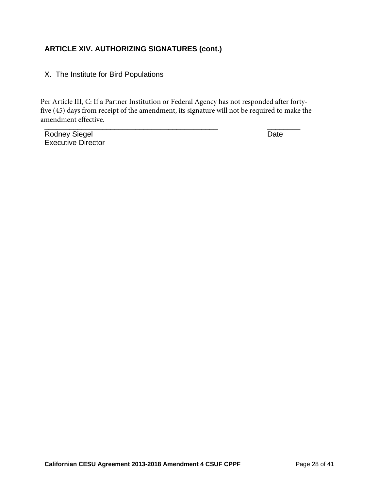#### X. The Institute for Bird Populations

\_\_\_\_\_\_\_\_\_\_\_\_\_\_\_\_\_\_\_\_\_\_\_\_\_\_\_\_\_\_\_\_\_\_\_\_\_\_\_\_\_\_ \_\_\_\_\_\_\_\_ Per Article III, C: If a Partner Institution or Federal Agency has not responded after fortyfive (45) days from receipt of the amendment, its signature will not be required to make the amendment effective.

Rodney Siegel **Date** Executive Director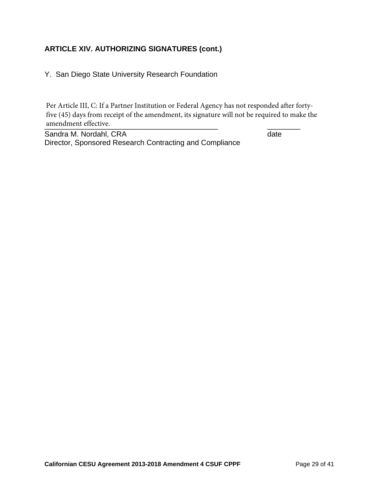Y. San Diego State University Research Foundation

examendment effective. Per Article III, C: If a Partner Institution or Federal Agency has not responded after fortyfive (45) days from receipt of the amendment, its signature will not be required to make the

Sandra M. Nordahl, CRA date Director, Sponsored Research Contracting and Compliance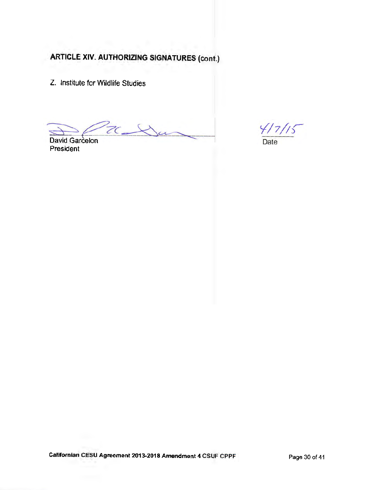Z. Institute for Wildlife Studies

 $ZC$  $\overline{\mathcal{U}}$ 

David Garcelon President

 $\frac{\sqrt{7}}{2}$ 

Gafifornian CESU Agreement 2013-2019 Amendment 4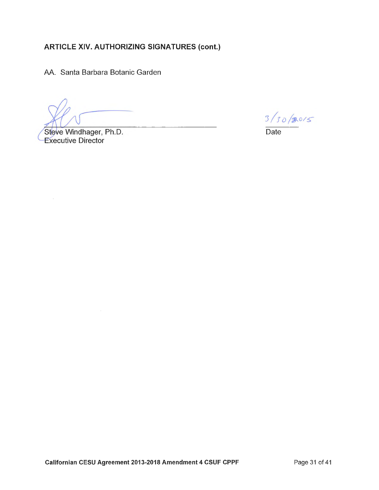AA. Santa Barbara Botanic Garden

Steve Windhager, Ph.D. **Executive Director** 

 $3/30/80/5$ 

Date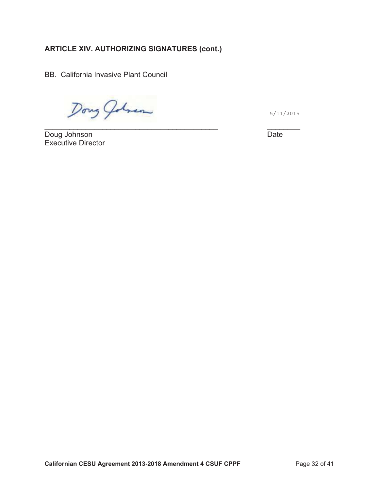Dong Johnson

5/11/2015

Doug Johnson Date <u>Doug Johnson Date</u><br>Executive Director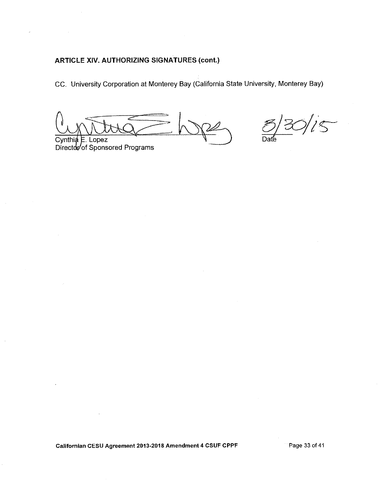CC. University Corporation at Monterey Bay (California State University, Monterey Bay)

 $\frac{120}{15}$ 

Cynthi $\oint$  E. Lopez Director of Sponsored Programs

Californian CESU Agreement 2013-2018 Amendment 4 CSUF CPPF

Page 33 of 41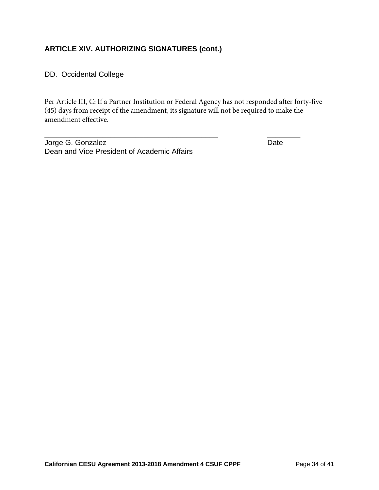DD. Occidental College

Per Article III, C: If a Partner Institution or Federal Agency has not responded after forty-five (45) days from receipt of the amendment, its signature will not be required to make the amendment effective.

\_\_\_\_\_\_\_\_\_\_\_\_\_\_\_\_\_\_\_\_\_\_\_\_\_\_\_\_\_\_\_\_\_\_\_\_\_\_\_\_\_\_ \_\_\_\_\_\_\_\_

Jorge G. Gonzalez **Date** Dean and Vice President of Academic Affairs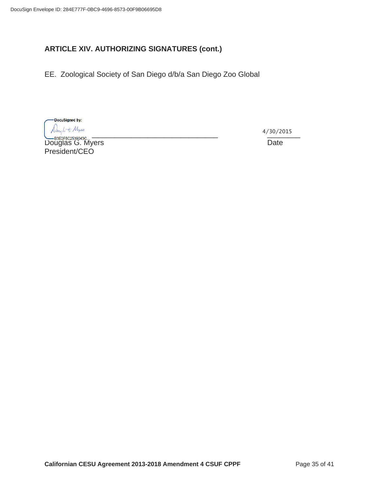EE. Zoological Society of San Diego d/b/a San Diego Zoo Global

-DocuSigned by:  $4/30/2015$ 

Douglas G. Myers **Date** President/CEO

4/30/2015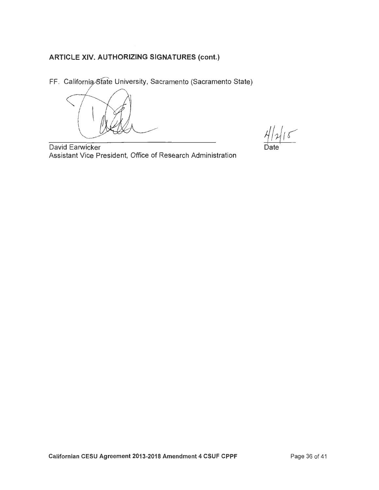FF. California State University, Sacramento (Sacramento State)

 $4|2|15$ 

David Earwicker Assistant Vice President, Office of Research Administration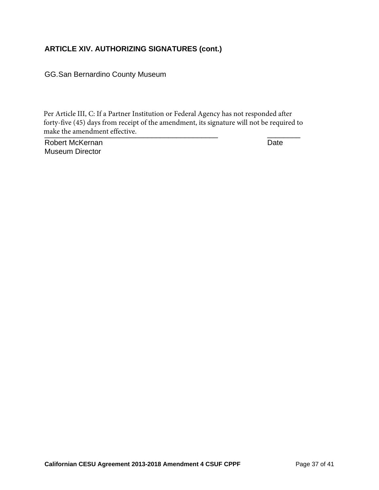GG. San Bernardino County Museum

make the amendment effective. Per Article III, C: If a Partner Institution or Federal Agency has not responded after forty-five (45) days from receipt of the amendment, its signature will not be required to

Robert McKernan Date Museum Director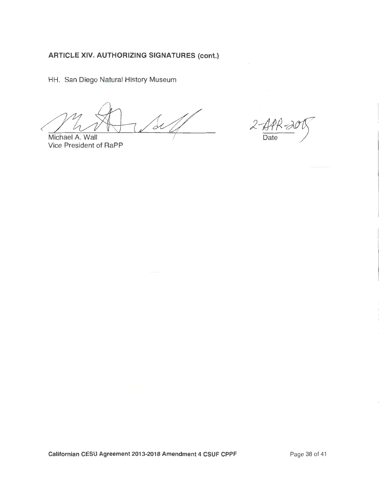HH. San Diego Natural History Museum

 $2\epsilon$ Michael A. Wall

Vice President of RaPP

 $2 - \frac{1}{\text{Date}}$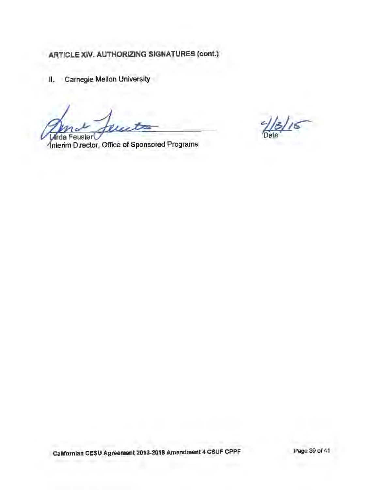II. Carnegie Mellon University

Inda Feuster

Interim Director, Office of Sponsored Programs

 $18/15$ 

Californian CESU Agreement 2013-2018 Amendment 4 CSUF CPPF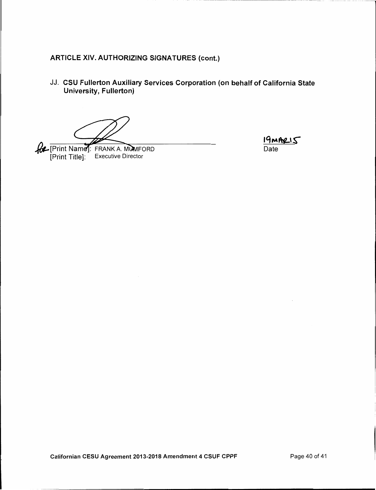JJ. CSU Fullerton Auxiliary Services Corporation (on behalf of California State **University, Fullerton)** 

**Complete Terminister Complete Terminister Terminister Terminister Terminister Terminister Terminister Terminister Terminister Terminister Terminister Terminister Terminister Terminister Terminister Terminister Terminister Executive Director** [Print Title]:

 $19mRIS$  $\overline{Date}$